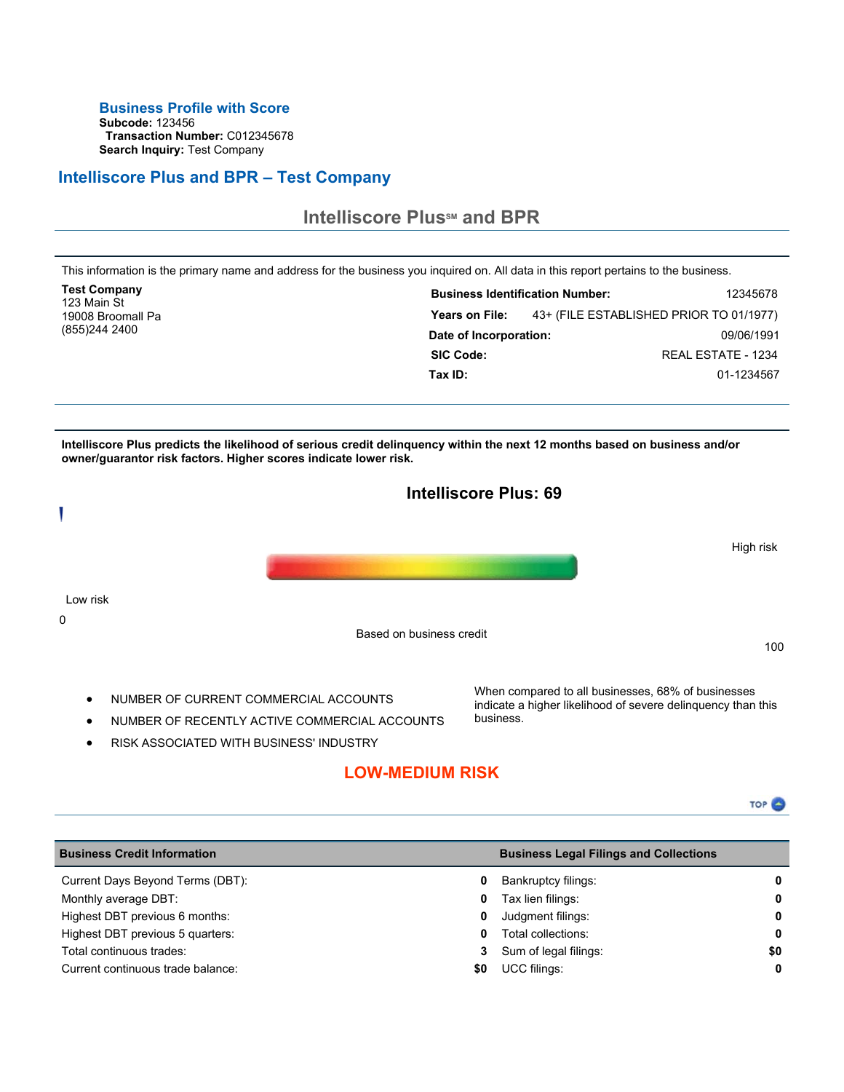### **Business Profile with Score**

**Subcode:** 123456 **Transaction Number:** C012345678 **Search Inquiry:** Test Company

## **Intelliscore Plus and BPR – Test Company**



RISK ASSOCIATED WITH BUSINESS' INDUSTRY

# **LOW-MEDIUM RISK**

| <b>Business Credit Information</b> |     | <b>Business Legal Filings and Collections</b> |              |
|------------------------------------|-----|-----------------------------------------------|--------------|
| Current Days Beyond Terms (DBT):   | 0   | Bankruptcy filings:                           | $\mathbf{0}$ |
| Monthly average DBT:               | 0   | Tax lien filings:                             | 0            |
| Highest DBT previous 6 months:     | 0   | Judgment filings:                             | 0            |
| Highest DBT previous 5 quarters:   | 0   | Total collections:                            | 0            |
| Total continuous trades:           | 3   | Sum of legal filings:                         | \$0          |
| Current continuous trade balance:  | SO. | <b>UCC filings:</b>                           | $\mathbf 0$  |
|                                    |     |                                               |              |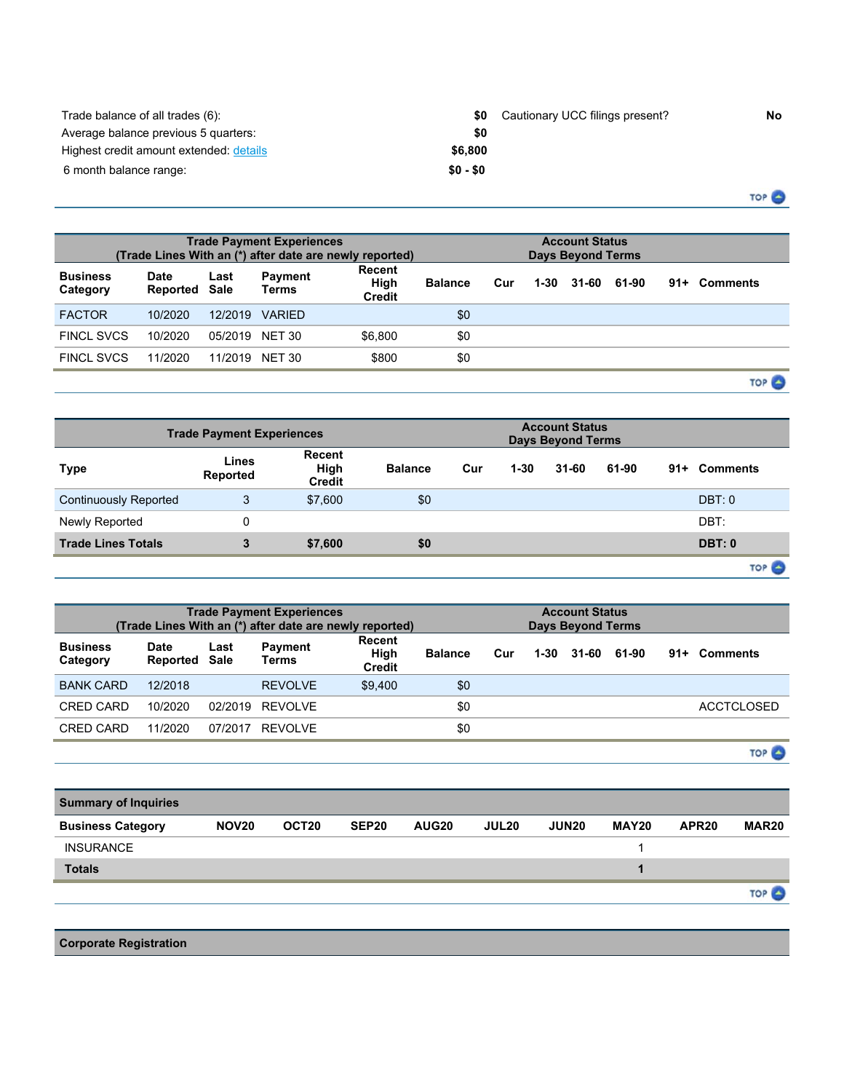| Trade balance of all trades (6):        | SO.       | Cautionary UCC filings present? | No. |
|-----------------------------------------|-----------|---------------------------------|-----|
| Average balance previous 5 quarters:    | \$0       |                                 |     |
| Highest credit amount extended: details | \$6.800   |                                 |     |
| 6 month balance range:                  | $$0 - $0$ |                                 |     |

TOP<sup>O</sup>

|                             | <b>Trade Payment Experiences</b><br>(Trade Lines With an (*) after date are newly reported) |         |                         |                                 |                |     |          | <b>Account Status</b><br><b>Days Beyond Terms</b> |       |     |                  |
|-----------------------------|---------------------------------------------------------------------------------------------|---------|-------------------------|---------------------------------|----------------|-----|----------|---------------------------------------------------|-------|-----|------------------|
| <b>Business</b><br>Category | <b>Date</b><br><b>Reported Sale</b>                                                         | Last    | Payment<br><b>Terms</b> | Recent<br>High<br><b>Credit</b> | <b>Balance</b> | Cur | $1 - 30$ | 31-60                                             | 61-90 | 91+ | Comments         |
| <b>FACTOR</b>               | 10/2020                                                                                     | 12/2019 | <b>VARIED</b>           |                                 | \$0            |     |          |                                                   |       |     |                  |
| <b>FINCL SVCS</b>           | 10/2020                                                                                     | 05/2019 | <b>NET 30</b>           | \$6.800                         | \$0            |     |          |                                                   |       |     |                  |
| <b>FINCL SVCS</b>           | 11/2020                                                                                     | 11/2019 | NET 30                  | \$800                           | \$0            |     |          |                                                   |       |     |                  |
|                             |                                                                                             |         |                         |                                 |                |     |          |                                                   |       |     | TOP <sup>L</sup> |

| <b>Trade Payment Experiences</b> |                   | <b>Account Status</b><br><b>Days Beyond Terms</b> |                |     |          |           |       |     |                  |
|----------------------------------|-------------------|---------------------------------------------------|----------------|-----|----------|-----------|-------|-----|------------------|
| Type                             | Lines<br>Reported | Recent<br>High<br><b>Credit</b>                   | <b>Balance</b> | Cur | $1 - 30$ | $31 - 60$ | 61-90 | 91+ | <b>Comments</b>  |
| <b>Continuously Reported</b>     | 3                 | \$7,600                                           | \$0            |     |          |           |       |     | DBT: 0           |
| Newly Reported                   |                   |                                                   |                |     |          |           |       |     | DBT:             |
| <b>Trade Lines Totals</b>        | 3                 | \$7,600                                           | \$0            |     |          |           |       |     | DBT: 0           |
|                                  |                   |                                                   |                |     |          |           |       |     | TOP <sub>C</sub> |

| <b>Trade Payment Experiences</b><br>(Trade Lines With an (*) after date are newly reported) |                                     |         |                                |                                 |                |     |      | <b>Account Status</b><br><b>Days Beyond Terms</b> |       |                   |
|---------------------------------------------------------------------------------------------|-------------------------------------|---------|--------------------------------|---------------------------------|----------------|-----|------|---------------------------------------------------|-------|-------------------|
| <b>Business</b><br>Category                                                                 | <b>Date</b><br><b>Reported Sale</b> | Last    | <b>Payment</b><br><b>Terms</b> | Recent<br>High<br><b>Credit</b> | <b>Balance</b> | Cur | 1-30 | 31-60                                             | 61-90 | 91+ Comments      |
| <b>BANK CARD</b>                                                                            | 12/2018                             |         | REVOLVE                        | \$9.400                         | \$0            |     |      |                                                   |       |                   |
| CRED CARD                                                                                   | 10/2020                             | 02/2019 | RFVOLVF                        |                                 | \$0            |     |      |                                                   |       | <b>ACCTCLOSED</b> |
| CRED CARD                                                                                   | 11/2020                             | 07/2017 | RFVOLVE                        |                                 | \$0            |     |      |                                                   |       |                   |

TOP<sup>O</sup>

| <b>Summary of Inquiries</b> |              |       |       |       |                   |              |              |                   |                   |
|-----------------------------|--------------|-------|-------|-------|-------------------|--------------|--------------|-------------------|-------------------|
| <b>Business Category</b>    | <b>NOV20</b> | OCT20 | SEP20 | AUG20 | JUL <sub>20</sub> | <b>JUN20</b> | <b>MAY20</b> | APR <sub>20</sub> | MAR <sub>20</sub> |
| <b>INSURANCE</b>            |              |       |       |       |                   |              |              |                   |                   |
| <b>Totals</b>               |              |       |       |       |                   |              |              |                   |                   |
|                             |              |       |       |       |                   |              |              |                   |                   |

**Corporate Registration**